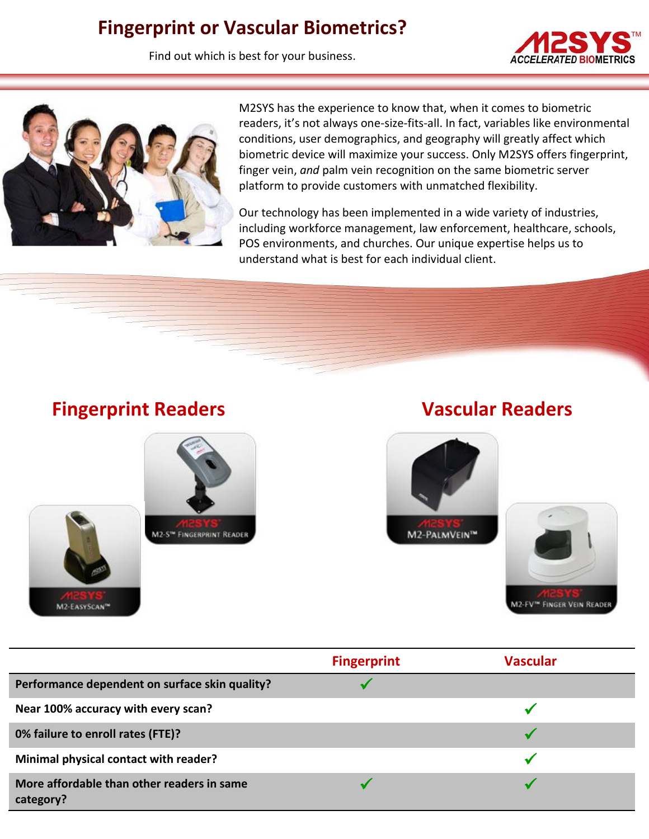# **Fingerprint or Vascular Biometrics?**

Find out which is best for your business.





M2SYS has the experience to know that, when it comes to biometric readers, it's not always one-size-fits-all. In fact, variables like environmental conditions, user demographics, and geography will greatly affect which biometric device will maximize your success. Only M2SYS offers fingerprint, finger vein, *and* palm vein recognition on the same biometric server platform to provide customers with unmatched flexibility.

Our technology has been implemented in a wide variety of industries, including workforce management, law enforcement, healthcare, schools, POS environments, and churches. Our unique expertise helps us to understand what is best for each individual client.

## **Fingerprint Readers The Construction Construction Construction Construction Construction Construction Construction Construction Construction Construction Construction Construction Construction Construction Construction Co**

M2-EASYSCAN™

# M2-S<sup>te</sup> FINGERPRINT READER





|                                                         | <b>Fingerprint</b> | <b>Vascular</b> |
|---------------------------------------------------------|--------------------|-----------------|
| Performance dependent on surface skin quality?          |                    |                 |
| Near 100% accuracy with every scan?                     |                    |                 |
| 0% failure to enroll rates (FTE)?                       |                    |                 |
| Minimal physical contact with reader?                   |                    |                 |
| More affordable than other readers in same<br>category? |                    |                 |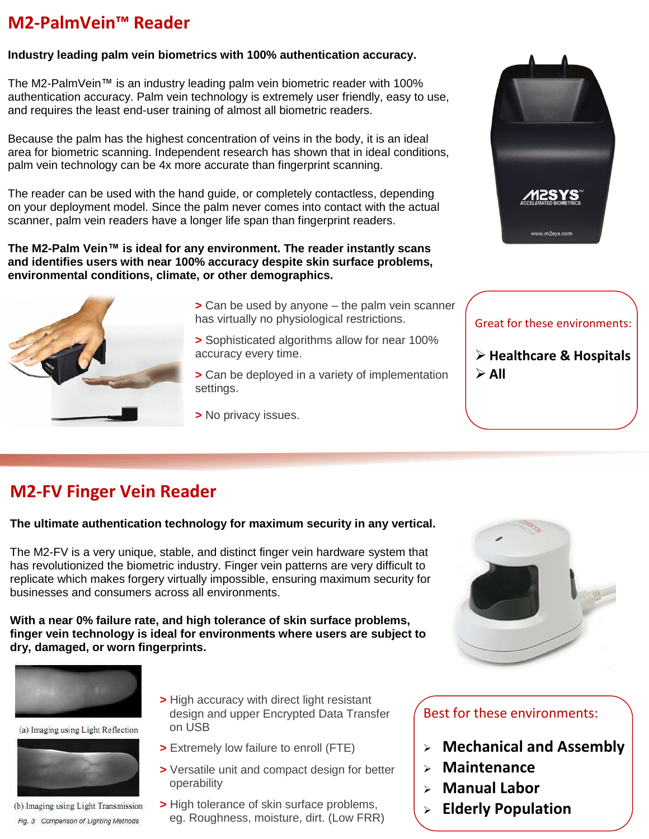## **M2-PalmVein™ Reader**

#### **Industry leading palm vein biometrics with 100% authentication accuracy.**

The M2-PalmVein™ is an industry leading palm vein biometric reader with 100% authentication accuracy. Palm vein technology is extremely user friendly, easy to use, and requires the least end-user training of almost all biometric readers.

Because the palm has the highest concentration of veins in the body, it is an ideal area for biometric scanning. Independent research has shown that in ideal conditions, palm vein technology can be 4x more accurate than fingerprint scanning.

The reader can be used with the hand guide, or completely contactless, depending on your deployment model. Since the palm never comes into contact with the actual scanner, palm vein readers have a longer life span than fingerprint readers.

**The M2-Palm Vein™ is ideal for any environment. The reader instantly scans and identifies users with near 100% accuracy despite skin surface problems, environmental conditions, climate, or other demographics.**



- **>** Can be used by anyone the palm vein scanner has virtually no physiological restrictions.
- **>** Sophisticated algorithms allow for near 100% accuracy every time.
- **>** Can be deployed in a variety of implementation settings.
- **>** No privacy issues.



#### Great for these environments:

 **Healthcare & Hospitals**  $\triangleright$  All

## **M2-FV Finger Vein Reader**

#### **The ultimate authentication technology for maximum security in any vertical.**

The M2-FV is a very unique, stable, and distinct finger vein hardware system that has revolutionized the biometric industry. Finger vein patterns are very difficult to replicate which makes forgery virtually impossible, ensuring maximum security for businesses and consumers across all environments.

#### **With a near 0% failure rate, and high tolerance of skin surface problems, finger vein technology is ideal for environments where users are subject to dry, damaged, or worn fingerprints.**



(a) Imaging using Light Reflection



(b) Imaging using Light Transmission Fig. 3 Comparison of Lighting Methods

- **>** High accuracy with direct light resistant design and upper Encrypted Data Transfer on USB
- **>** Extremely low failure to enroll (FTE)
- **>** Versatile unit and compact design for better operability
- **>** High tolerance of skin surface problems, eg. Roughness, moisture, dirt. (Low FRR)

#### Best for these environments:

- **Mechanical and Assembly**
- **Maintenance**
- **Manual Labor**
- **Elderly Population**

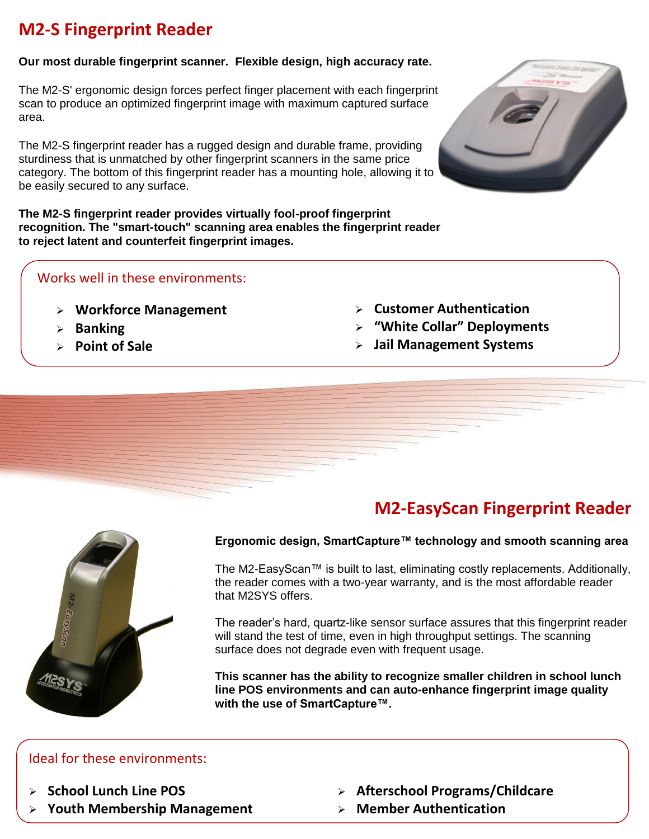## **M2-S Fingerprint Reader**

#### **Our most durable fingerprint scanner. Flexible design, high accuracy rate.**

The M2-S' ergonomic design forces perfect finger placement with each fingerprint scan to produce an optimized fingerprint image with maximum captured surface area.

The M2-S fingerprint reader has a rugged design and durable frame, providing sturdiness that is unmatched by other fingerprint scanners in the same price category. The bottom of this fingerprint reader has a mounting hole, allowing it to be easily secured to any surface.

**The M2-S fingerprint reader provides virtually fool-proof fingerprint recognition. The "smart-touch" scanning area enables the fingerprint reader to reject latent and counterfeit fingerprint images.**

### Works well in these environments:

- **Workforce Management**
- **Banking**
- **Point of Sale**
- **Customer Authentication**
- **"White Collar" Deployments**
- **Jail Management Systems**

## **M2-EasyScan Fingerprint Reader**

## **Ergonomic design, SmartCapture™ technology and smooth scanning area**

The M2-EasyScan™ is built to last, eliminating costly replacements. Additionally, the reader comes with a two-year warranty, and is the most affordable reader that M2SYS offers.

The reader's hard, quartz-like sensor surface assures that this fingerprint reader will stand the test of time, even in high throughput settings. The scanning surface does not degrade even with frequent usage.

**This scanner has the ability to recognize smaller children in school lunch line POS environments and can auto-enhance fingerprint image quality with the use of SmartCapture™.** 

#### Ideal for these environments:

- **School Lunch Line POS**
- **Youth Membership Management**
- **Afterschool Programs/Childcare**
- **Member Authentication**